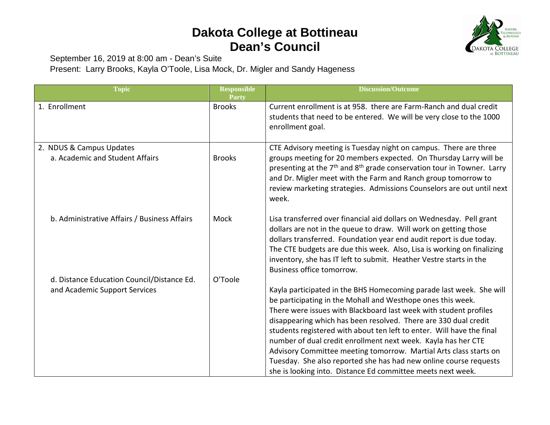## **Dakota College at Bottineau Dean's Council**



September 16, 2019 at 8:00 am - Dean's Suite

Present: Larry Brooks, Kayla O'Toole, Lisa Mock, Dr. Migler and Sandy Hageness

| <b>Topic</b>                                                                | <b>Responsible</b><br>Party | <b>Discussion/Outcome</b>                                                                                                                                                                                                                                                                                                                                                                                                                                                                                                                                                                                                     |
|-----------------------------------------------------------------------------|-----------------------------|-------------------------------------------------------------------------------------------------------------------------------------------------------------------------------------------------------------------------------------------------------------------------------------------------------------------------------------------------------------------------------------------------------------------------------------------------------------------------------------------------------------------------------------------------------------------------------------------------------------------------------|
| 1. Enrollment                                                               | <b>Brooks</b>               | Current enrollment is at 958. there are Farm-Ranch and dual credit<br>students that need to be entered. We will be very close to the 1000<br>enrollment goal.                                                                                                                                                                                                                                                                                                                                                                                                                                                                 |
| 2. NDUS & Campus Updates<br>a. Academic and Student Affairs                 | <b>Brooks</b>               | CTE Advisory meeting is Tuesday night on campus. There are three<br>groups meeting for 20 members expected. On Thursday Larry will be<br>presenting at the 7 <sup>th</sup> and 8 <sup>th</sup> grade conservation tour in Towner. Larry<br>and Dr. Migler meet with the Farm and Ranch group tomorrow to<br>review marketing strategies. Admissions Counselors are out until next<br>week.                                                                                                                                                                                                                                    |
| b. Administrative Affairs / Business Affairs                                | Mock                        | Lisa transferred over financial aid dollars on Wednesday. Pell grant<br>dollars are not in the queue to draw. Will work on getting those<br>dollars transferred. Foundation year end audit report is due today.<br>The CTE budgets are due this week. Also, Lisa is working on finalizing<br>inventory, she has IT left to submit. Heather Vestre starts in the<br>Business office tomorrow.                                                                                                                                                                                                                                  |
| d. Distance Education Council/Distance Ed.<br>and Academic Support Services | O'Toole                     | Kayla participated in the BHS Homecoming parade last week. She will<br>be participating in the Mohall and Westhope ones this week.<br>There were issues with Blackboard last week with student profiles<br>disappearing which has been resolved. There are 330 dual credit<br>students registered with about ten left to enter. Will have the final<br>number of dual credit enrollment next week. Kayla has her CTE<br>Advisory Committee meeting tomorrow. Martial Arts class starts on<br>Tuesday. She also reported she has had new online course requests<br>she is looking into. Distance Ed committee meets next week. |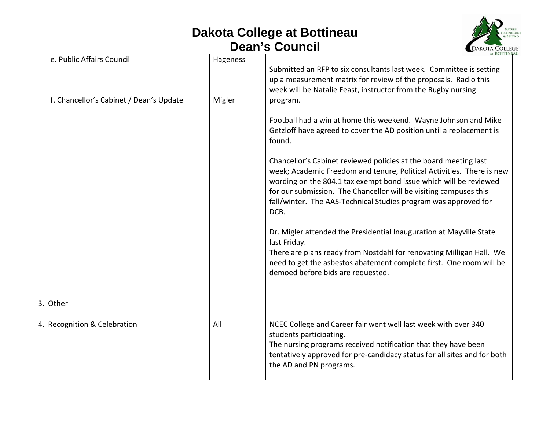## **Dakota College at Bottineau Dean's Council**



| e. Public Affairs Council               | Hageness | Submitted an RFP to six consultants last week. Committee is setting<br>up a measurement matrix for review of the proposals. Radio this<br>week will be Natalie Feast, instructor from the Rugby nursing                                                                                                                                                        |
|-----------------------------------------|----------|----------------------------------------------------------------------------------------------------------------------------------------------------------------------------------------------------------------------------------------------------------------------------------------------------------------------------------------------------------------|
| f. Chancellor's Cabinet / Dean's Update | Migler   | program.<br>Football had a win at home this weekend. Wayne Johnson and Mike<br>Getzloff have agreed to cover the AD position until a replacement is<br>found.                                                                                                                                                                                                  |
|                                         |          | Chancellor's Cabinet reviewed policies at the board meeting last<br>week; Academic Freedom and tenure, Political Activities. There is new<br>wording on the 804.1 tax exempt bond issue which will be reviewed<br>for our submission. The Chancellor will be visiting campuses this<br>fall/winter. The AAS-Technical Studies program was approved for<br>DCB. |
|                                         |          | Dr. Migler attended the Presidential Inauguration at Mayville State<br>last Friday.<br>There are plans ready from Nostdahl for renovating Milligan Hall. We<br>need to get the asbestos abatement complete first. One room will be<br>demoed before bids are requested.                                                                                        |
| 3. Other                                |          |                                                                                                                                                                                                                                                                                                                                                                |
| 4. Recognition & Celebration            | All      | NCEC College and Career fair went well last week with over 340<br>students participating.<br>The nursing programs received notification that they have been<br>tentatively approved for pre-candidacy status for all sites and for both<br>the AD and PN programs.                                                                                             |